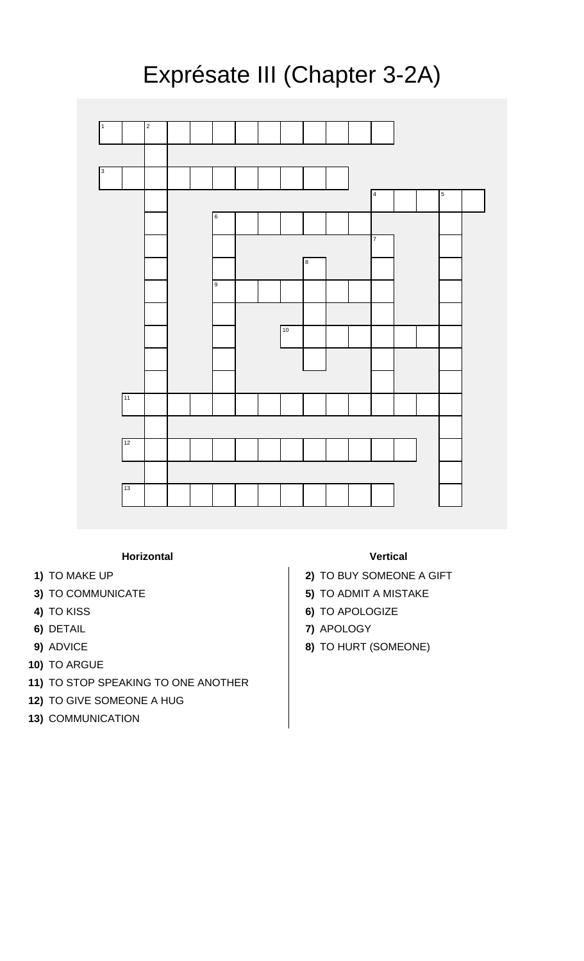## Exprésate III (Chapter 3-2A)



## **Horizontal Vertical**

- 
- 
- 
- 
- 
- **10)** TO ARGUE
- **11)** TO STOP SPEAKING TO ONE ANOTHER
- **12)** TO GIVE SOMEONE A HUG
- **13)** COMMUNICATION

- **1)** TO MAKE UP **2)** TO BUY SOMEONE A GIFT
- **3)** TO COMMUNICATE **5)** TO ADMIT A MISTAKE
- **4)** TO KISS **6)** TO APOLOGIZE
- **6)** DETAIL **7)** APOLOGY
- **9)** ADVICE **8)** TO HURT (SOMEONE)